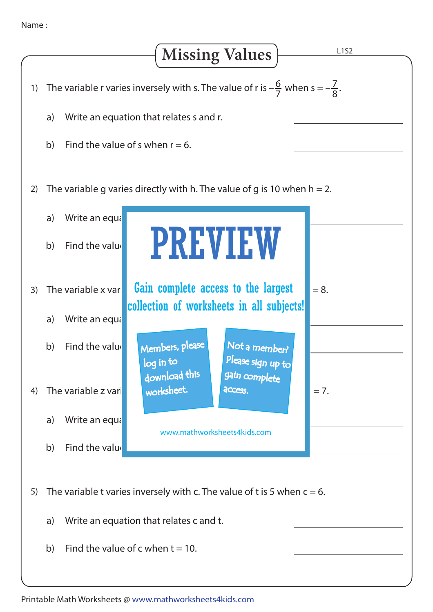